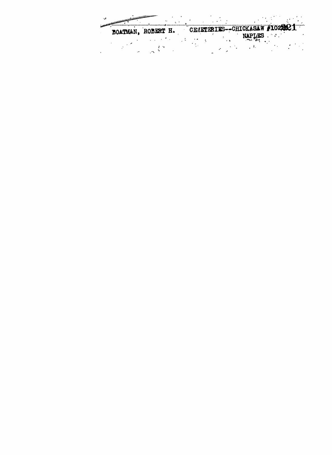BOATMAN, ROBERT H. CEMETERIES--CHICKASAW #1029021 DUATMAN, RUDERT II. VARIANCHE NAPLIES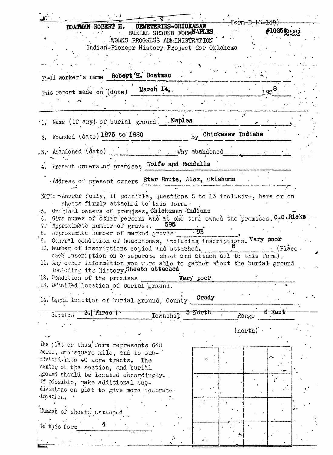| BOATMAN ROBERT H. CEMETERIES-CHICKASAW<br>BURIAL GROUND FORMNAPLES                  |                                                                           |                 |
|-------------------------------------------------------------------------------------|---------------------------------------------------------------------------|-----------------|
|                                                                                     | -Form-B-(S-149)-                                                          | #10256          |
|                                                                                     |                                                                           |                 |
| WORKS PROGRESS ADMINISTRATION                                                       |                                                                           |                 |
| Indian-Pioneer History Project for Oklahoma                                         |                                                                           |                 |
|                                                                                     |                                                                           |                 |
|                                                                                     |                                                                           |                 |
| Field worker's name Robert H. Boatman                                               |                                                                           |                 |
| This report made on (date) March 14,                                                | $193^{8}$                                                                 |                 |
|                                                                                     |                                                                           |                 |
| 1. Name (if any) of burial ground. . Naples                                         | $\mathcal{L}_{\mathcal{L}}$                                               |                 |
| 2. Founded (date) 1875 to 1880                                                      | By Chickasaw Indians                                                      |                 |
|                                                                                     |                                                                           |                 |
| .3. Abandoned (date) The Third Why abandoned                                        |                                                                           |                 |
| 4. Fresent owners of premises Wolfe and Randalls                                    |                                                                           |                 |
| Address of present owners Star Route, Alex, Oklahoma                                |                                                                           |                 |
|                                                                                     |                                                                           |                 |
| NOTE: - Answer fully, if possible, questions 5 to 13 inclusive, here or on          |                                                                           |                 |
| sheets firmly attached to this form.                                                |                                                                           |                 |
| o. Original owners of premises. Chickasaw Indians                                   |                                                                           |                 |
| 6. Give names of other persons who at one time owned the premises. C.C.Ricks<br>585 |                                                                           |                 |
| 7. Approximate number of graves.                                                    |                                                                           |                 |
| 8. Approximate number of marked graves 195                                          |                                                                           |                 |
| 9. General condition of headetones, including inscriptions. Vary poor               |                                                                           |                 |
| 10. Number of inscriptions copied and attached.                                     |                                                                           | $·$ (Flace.     |
| cach inscription on a separate sheet and attach all to this form).                  |                                                                           |                 |
|                                                                                     |                                                                           |                 |
|                                                                                     | 11. Any other information you were able to gather about the burial ground |                 |
| including its history. Sheets attached                                              |                                                                           |                 |
| 12. Condition of the premises                                                       | Very poor                                                                 |                 |
| 13. Detailed location of burial ground.                                             |                                                                           |                 |
|                                                                                     |                                                                           |                 |
| 14. Legal location of burial ground, County                                         | Grady                                                                     |                 |
| $3$ . Three $)$<br>Section<br>Township                                              | 5 North                                                                   | $_{\rm 6-East}$ |
|                                                                                     | Range                                                                     |                 |
|                                                                                     | $(north)^{n}$                                                             |                 |
|                                                                                     |                                                                           |                 |
| The <i>lat</i> on this, form represents 640                                         |                                                                           |                 |
| scres, bns square mile, and is sub-                                                 |                                                                           |                 |
| divided into 40 acre tracts. The                                                    |                                                                           |                 |
| center of the section, and burial                                                   |                                                                           |                 |
| ground should be located accordingly.                                               |                                                                           |                 |
| If possible, nake additional sub-                                                   |                                                                           |                 |
| divisions on plat to give more necurate.                                            |                                                                           |                 |
| lœation.                                                                            |                                                                           |                 |
|                                                                                     |                                                                           |                 |
| Humber of sheets attached                                                           |                                                                           |                 |
|                                                                                     |                                                                           |                 |
| to this form:                                                                       |                                                                           |                 |
|                                                                                     |                                                                           |                 |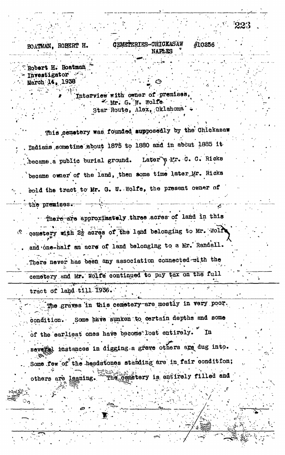**CEMETERIES-CHICKASAW** BOATMAN. ROBERT H. #10256

Robert H. Boatman Investigator -March 14, 1938

> Interview with owner of premises the G. W. Wolfe. Star Route, Alex, Oklahoma

This cemetery was founded supposedly by the Chickasaw Indians sometime about 1875 to 1880 and in about 1885 it Later & Mr. C. C. Ricks became a public burial ground. became owner of the land, then some time later Mr. Ricks Bold the tract to Mr. G. W. Wolfe, the present owner of the premises.

There are approximately three acres of land in this cemetery with 22 acres of the land belonging to Mr. Wolf and one-half an acre of land belonging to a Mr. Randall. There never has been any association connected with the cemetery and Mr. Wolfe continued to pay tax on the full

tract of land till 1936.

The graves in this cemetery are mostly in very poor. condition. Some have sunken to certain depths and some of the earliest ones have become lost entirely. In several instances in digging a grave others are dug into. Some few of the headstones standing are in fair condition; The cemetery is entirely filled and others are laaning.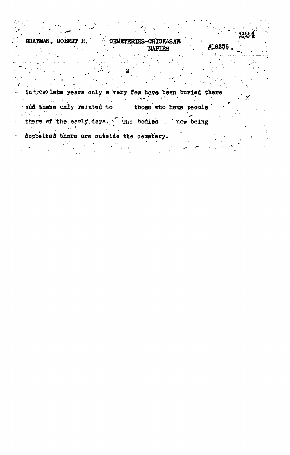| $\bullet$          |                                | كرهم<br>224 |  |
|--------------------|--------------------------------|-------------|--|
| BOATMAN, ROBERT H. | CEMETERIES-CHICKASAW<br>NAPLES | #10256      |  |
|                    |                                |             |  |

| and these only related to                     | those who have people |  |  |  |
|-----------------------------------------------|-----------------------|--|--|--|
| there of the early days. The bodies now being |                       |  |  |  |
| deposited there are outside the cemetery.     |                       |  |  |  |

 $\sim$  $\mathcal{L}_{\text{max}}$ 

 $\frac{1}{2}$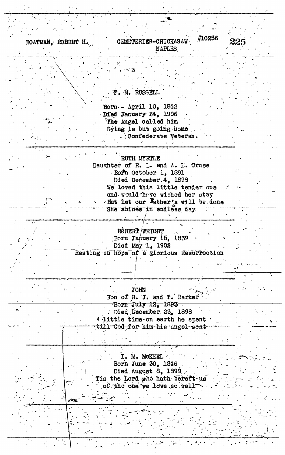BOATMAN, ROBERT H.

#10256 CHMETERIES-CHICKASAW **NAPLES** 

F. M. RUSSELL

Born - April 10, 1842 Died January 24, 1906 The Angel called him Dying is but going home . : Confederate Veteran.

RUTH MYRTLE Daughter of R. L. and A. L. Cruse Born October 1, 1891 Died December 4, 1898 We loved this little tender one and would have wished her stay But let our Father's will be done She shines in endless day

> ROBERT / WRIGHT Born January 15, 1839 Died May 1, 1902

Resting in hope of a glorious Resurrection

JOHN

Son of R. J. and T. Barker<br>Born July 12, 1893 Died December 23, 1898

A little time on earth he spent till God for him his angel sent

I. M. MCKEEL Born June 30, 1846 Died August 8, 1899 Tis the Lord who hath bereft us of the one we love so well